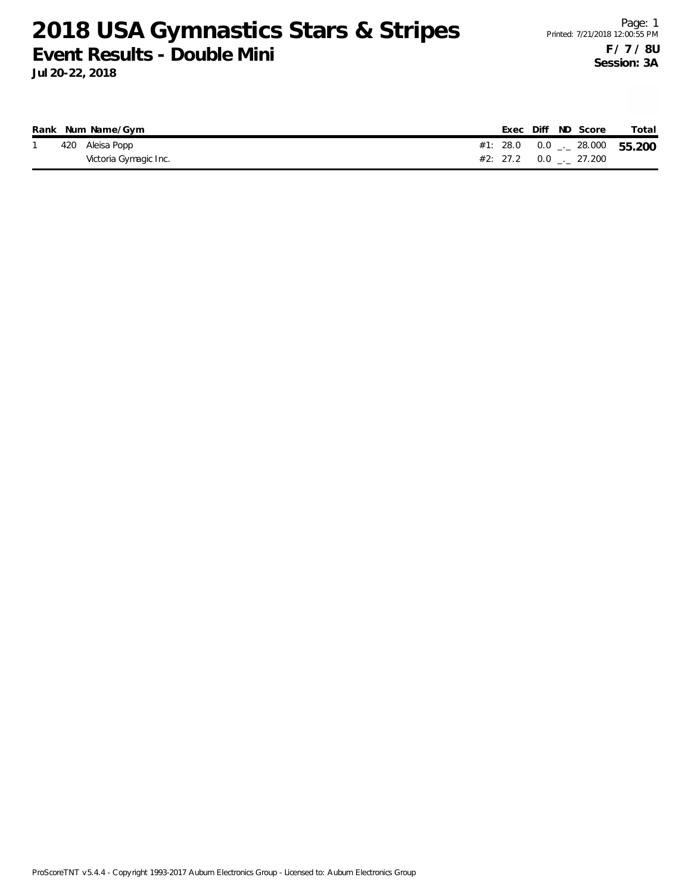|  | Rank Num Name/Gym     |  |  | Exec Diff ND Score            | Total                                 |
|--|-----------------------|--|--|-------------------------------|---------------------------------------|
|  | 420 Aleisa Popp       |  |  |                               | #1: 28.0  0.0 $\ldots$ 28.000  55.200 |
|  | Victoria Gymagic Inc. |  |  | $#2: 27.2 \t 0.0 \t . 27.200$ |                                       |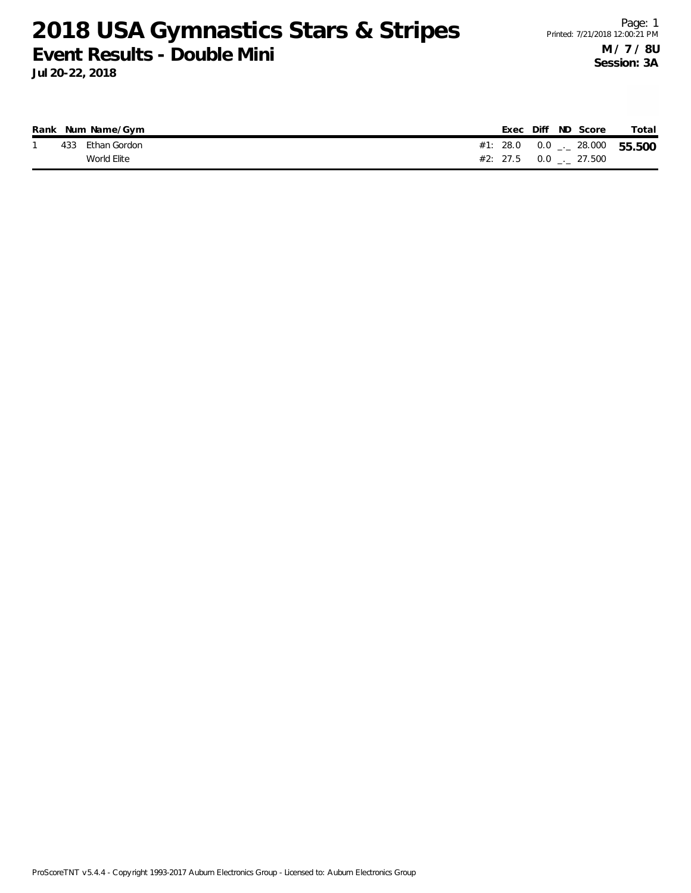|  | Rank Num Name/Gym |  |  | Exec Diff ND Score                           | Total                               |
|--|-------------------|--|--|----------------------------------------------|-------------------------------------|
|  | 433 Ethan Gordon  |  |  |                                              | #1: 28.0  0.0 $\sim$ 28.000  55.500 |
|  | World Elite       |  |  | $\#2: 27.5 \qquad 0.0 \qquad  \qquad 27.500$ |                                     |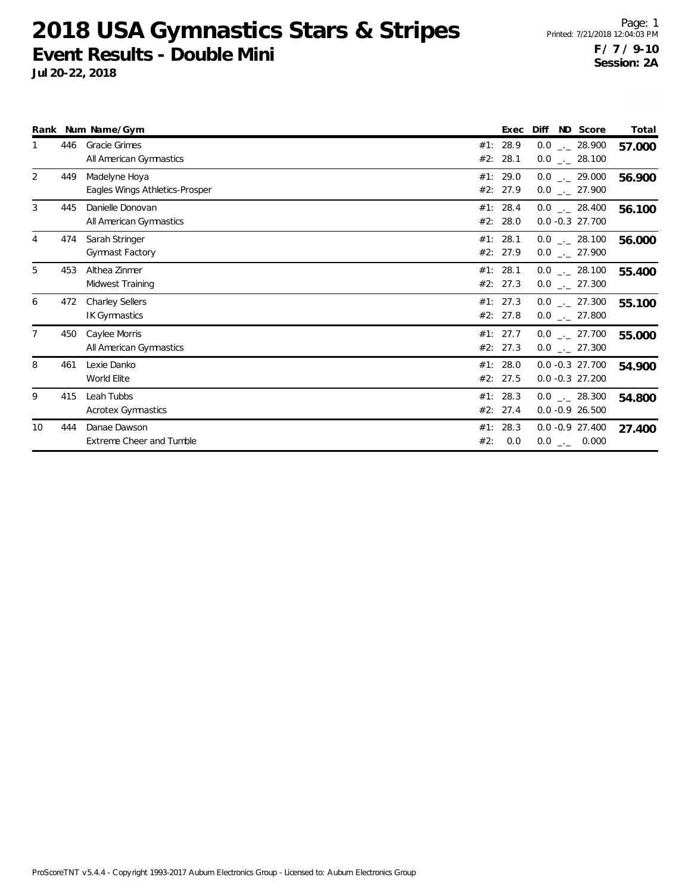|                |     | Rank Num Name/Gym                               |     | Exec                 | Diff | ND Score                                       | Total  |
|----------------|-----|-------------------------------------------------|-----|----------------------|------|------------------------------------------------|--------|
|                | 446 | <b>Gracie Grimes</b><br>All American Gymnastics |     | #1: 28.9<br>#2: 28.1 |      | $0.0$ _._ 28.900<br>$0.0$ _ 28.100             | 57.000 |
| 2              | 449 | Madelyne Hoya<br>Eagles Wings Athletics-Prosper |     | #1: 29.0<br>#2: 27.9 |      | $0.0$ _ 29.000<br>$0.0$ _ 27.900               | 56.900 |
| 3              | 445 | Danielle Donovan<br>All American Gymnastics     |     | #1: 28.4<br>#2: 28.0 |      | $0.0$ _._ 28.400<br>$0.0 - 0.3$ 27.700         | 56.100 |
| $\overline{4}$ | 474 | Sarah Stringer<br><b>Gymnast Factory</b>        |     | #1: 28.1<br>#2: 27.9 |      | $0.0$ _._ 28.100<br>$0.0$ _ 27.900             | 56.000 |
| 5              | 453 | Althea Zinmer<br>Midwest Training               |     | #1: 28.1<br>#2: 27.3 |      | $0.0$ _._ 28.100<br>$0.0$ _ 27.300             | 55.400 |
| 6              | 472 | <b>Charley Sellers</b><br><b>IK Gymnastics</b>  |     | #1: 27.3<br>#2: 27.8 |      | $0.0$ _ 27.300<br>$0.0$ $_{\leftarrow}$ 27.800 | 55.100 |
| $\overline{7}$ | 450 | Caylee Morris<br>All American Gymnastics        |     | #1: 27.7<br>#2: 27.3 |      | $0.0$ $_{-}$ 27.700<br>$0.0$ _ 27.300          | 55.000 |
| 8              | 461 | Lexie Danko<br>World Elite                      |     | #1: 28.0<br>#2: 27.5 |      | $0.0 - 0.3$ 27.700<br>$0.0 -0.3$ 27.200        | 54.900 |
| 9              | 415 | Leah Tubbs<br>Acrotex Gymnastics                |     | #1: 28.3<br>#2: 27.4 |      | $0.0$ _._ 28.300<br>$0.0 - 0.9 26.500$         | 54.800 |
| 10             | 444 | Danae Dawson<br>Extreme Cheer and Tumble        | #2: | #1: 28.3<br>0.0      |      | $0.0 - 0.9 27.400$<br>$0.0$ _ 0.000            | 27.400 |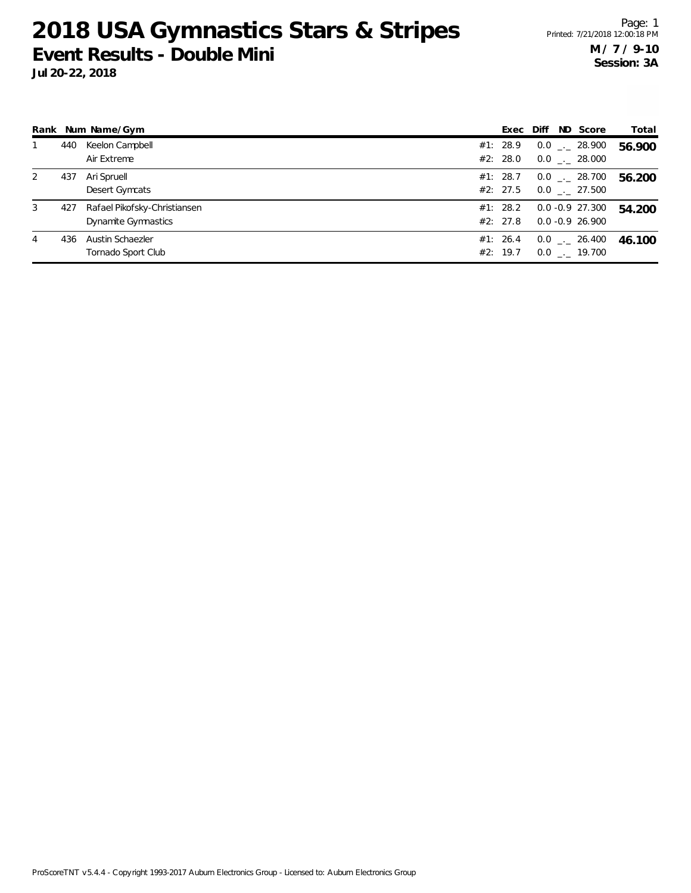**Jul 20-22, 2018**

|   |     | Rank Num Name/Gym                                   | Exec                 | Diff | ND Score                                 | Total  |
|---|-----|-----------------------------------------------------|----------------------|------|------------------------------------------|--------|
|   | 440 | Keelon Campbell<br>Air Extreme                      | #1: 28.9<br>#2: 28.0 |      | $0.0$ _._ 28.900<br>$0.0$ . 28.000       | 56.900 |
| 2 | 437 | Ari Spruell<br>Desert Gymcats                       | #1: 28.7<br>#2: 27.5 |      | $0.0$ _._ 28.700<br>$0.0$ _._ 27.500     | 56.200 |
| 3 | 427 | Rafael Pikofsky-Christiansen<br>Dynamite Gymnastics | #1: 28.2<br>#2: 27.8 |      | $0.0 - 0.9$ 27.300<br>$0.0 - 0.9$ 26.900 | 54.200 |
| 4 | 436 | Austin Schaezler<br>Tornado Sport Club              | #1: 26.4<br>#2: 19.7 |      | $0.0$ _ $-$ 26.400<br>$0.0$ _. 19.700    | 46.100 |

ProScoreTNT v5.4.4 - Copyright 1993-2017 Auburn Electronics Group - Licensed to: Auburn Electronics Group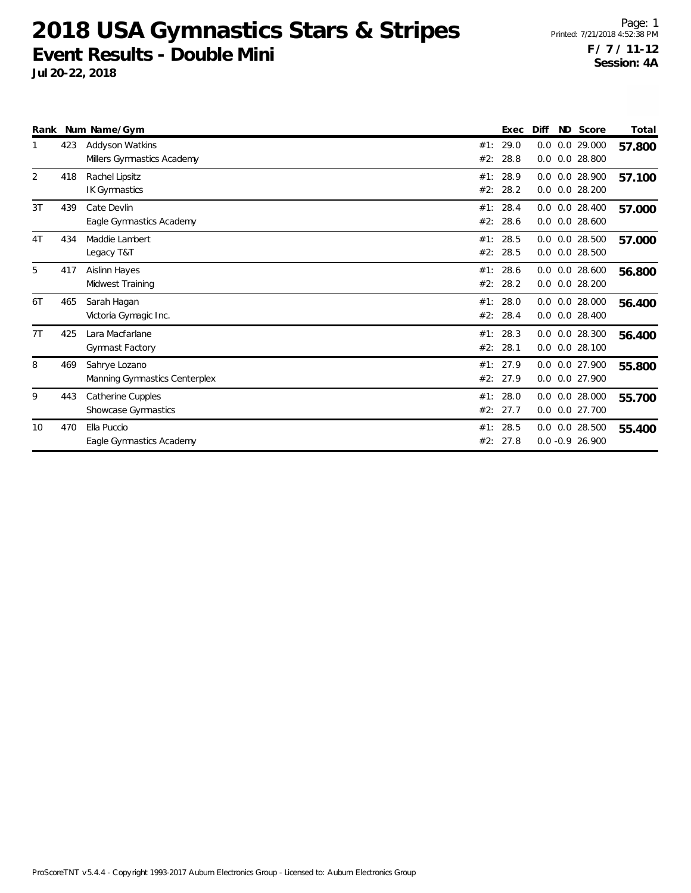|                |     | Rank Num Name/Gym                              |                 | Exec         | Diff<br>ND Score                           | Total  |
|----------------|-----|------------------------------------------------|-----------------|--------------|--------------------------------------------|--------|
|                | 423 | Addyson Watkins<br>Millers Gymnastics Academy  | #1:<br>#2:      | 29.0<br>28.8 | 0.0 29.000<br>0.0<br>0.0 28.800<br>0.0     | 57.800 |
| $\overline{2}$ | 418 | Rachel Lipsitz<br><b>IK Gymnastics</b>         | #1:<br>#2:      | 28.9<br>28.2 | 0.0 0.0 28.900<br>$0.0$ $0.0$ 28.200       | 57.100 |
| 3T             | 439 | Cate Devlin<br>Eagle Gymnastics Academy        | #1:<br>#2:      | 28.4<br>28.6 | $0.0$ $0.0$ 28.400<br>$0.0$ $0.0$ 28.600   | 57.000 |
| 4T             | 434 | Maddie Lambert<br>Legacy T&T                   | #1:<br>#2:      | 28.5<br>28.5 | $0.0$ $0.0$ 28.500<br>0.0 28.500<br>0.0    | 57.000 |
| 5              | 417 | Aislinn Hayes<br>Midwest Training              | #1:<br>#2:      | 28.6<br>28.2 | $0.0$ 28.600<br>0.0<br>$0.0$ 28.200<br>0.0 | 56.800 |
| 6T             | 465 | Sarah Hagan<br>Victoria Gymagic Inc.           | #1:<br>#2:      | 28.0<br>28.4 | $0.0$ $0.0$ 28.000<br>0.0<br>$0.0$ 28.400  | 56.400 |
| 7T             | 425 | Lara Macfarlane<br>Gymnast Factory             | #1: 28.3<br>#2: | 28.1         | $0.0$ $0.0$ 28.300<br>$0.0$ $0.0$ 28.100   | 56.400 |
| 8              | 469 | Sahrye Lozano<br>Manning Gymnastics Centerplex | #1:<br>#2:      | 27.9<br>27.9 | 0.0 0.0 27.900<br>0.0 27.900<br>0.0        | 55.800 |
| 9              | 443 | Catherine Cupples<br>Showcase Gymnastics       | #1:<br>#2:      | 28.0<br>27.7 | $0.0$ $0.0$ 28.000<br>0.0 27.700<br>0.0    | 55.700 |
| 10             | 470 | Ella Puccio<br>Eagle Gymnastics Academy        | #1:<br>#2:      | 28.5<br>27.8 | 0.0 28.500<br>0.0<br>$0.0 - 0.9 26.900$    | 55.400 |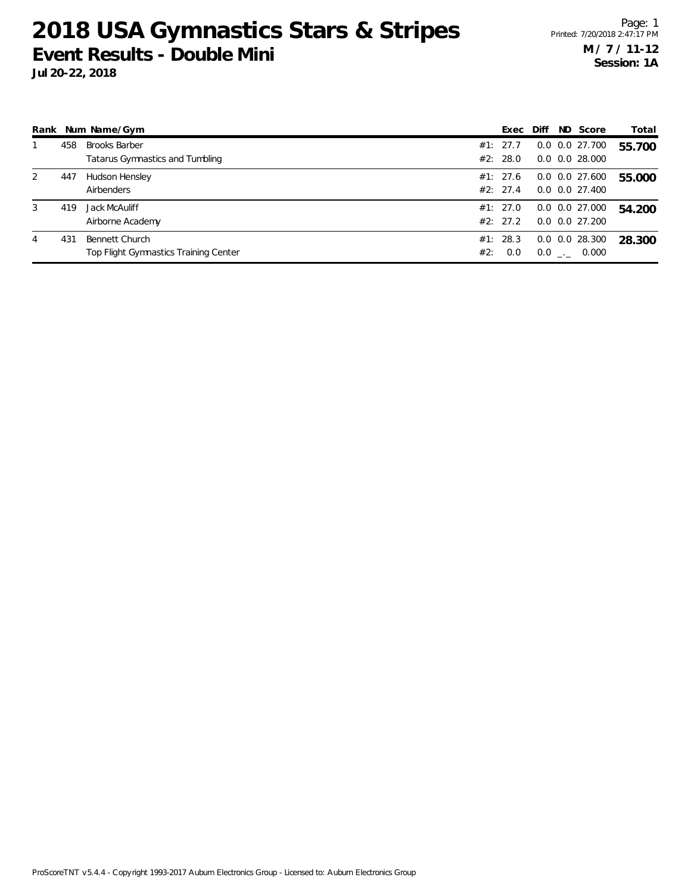|   |     | Rank Num Name/Gym                     |     | Exec     | Diff | ND Score             | Total  |
|---|-----|---------------------------------------|-----|----------|------|----------------------|--------|
|   | 458 | <b>Brooks Barber</b>                  |     | #1: 27.7 |      | $0.0$ $0.0$ $27.700$ | 55.700 |
|   |     | Tatarus Gymnastics and Tumbling       |     | #2: 28.0 |      | $0.0$ $0.0$ 28.000   |        |
| 2 | 447 | Hudson Hensley                        |     | #1: 27.6 |      | $0.0$ $0.0$ 27.600   | 55.000 |
|   |     | Airbenders                            |     | #2: 27.4 |      | $0.0$ $0.0$ $27.400$ |        |
| 3 | 419 | Jack McAuliff                         |     | #1: 27.0 |      | $0.0$ $0.0$ 27.000   | 54.200 |
|   |     | Airborne Academy                      |     | #2: 27.2 |      | $0.0$ $0.0$ $27.200$ |        |
| 4 | 431 | Bennett Church                        |     | #1: 28.3 |      | $0.0$ $0.0$ 28.300   | 28.300 |
|   |     | Top Flight Gymnastics Training Center | #2: | 0.0      |      | $0.0$ _._ 0.000      |        |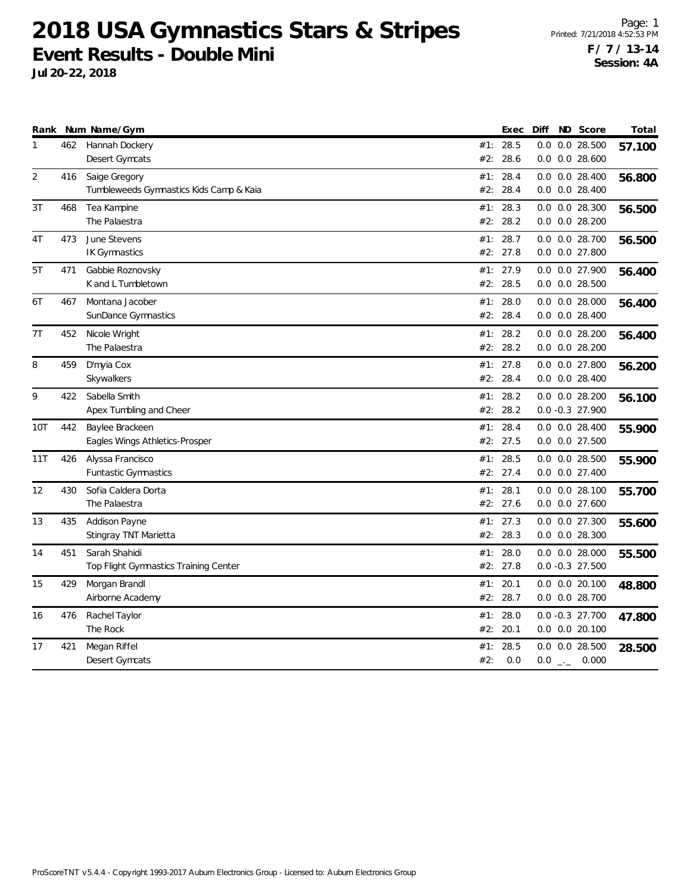**Jul 20-22, 2018**

Page: 1 Printed: 7/21/2018 4:52:53 PM **F / 7 / 13-14 Session: 4A**

|              |     | Rank Num Name/Gym                       |     | Exec     | Diff | ND Score           | Total  |
|--------------|-----|-----------------------------------------|-----|----------|------|--------------------|--------|
| $\mathbf{1}$ | 462 | Hannah Dockery                          | #1: | 28.5     | 0.0  | 0.028.500          | 57.100 |
|              |     | Desert Gymcats                          | #2: | 28.6     |      | $0.0$ $0.0$ 28.600 |        |
| 2            | 416 | Saige Gregory                           | #1: | 28.4     |      | $0.0$ $0.0$ 28.400 | 56.800 |
|              |     | Tumbleweeds Gymnastics Kids Camp & Kaia | #2: | 28.4     |      | $0.0$ $0.0$ 28.400 |        |
| 3T           | 468 | Tea Kampine                             | #1: | 28.3     |      | 0.0 0.0 28.300     | 56.500 |
|              |     | The Palaestra                           | #2: | 28.2     |      | $0.0$ $0.0$ 28.200 |        |
| 4T           | 473 | June Stevens                            | #1: | 28.7     | 0.0  | 0.0 28.700         | 56.500 |
|              |     | <b>IK Gymnastics</b>                    | #2: | 27.8     |      | $0.0$ $0.0$ 27.800 |        |
| 5T           | 471 | Gabbie Roznovsky                        | #1: | 27.9     |      | 0.0 0.0 27.900     | 56.400 |
|              |     | K and L Tumbletown                      | #2: | 28.5     |      | 0.0 0.0 28.500     |        |
| 6T           | 467 | Montana Jacober                         | #1: | 28.0     |      | $0.0$ $0.0$ 28.000 | 56.400 |
|              |     | SunDance Gymnastics                     | #2: | 28.4     |      | $0.0$ $0.0$ 28.400 |        |
| 7T           | 452 | Nicole Wright                           | #1: | 28.2     |      | $0.0$ $0.0$ 28.200 | 56.400 |
|              |     | The Palaestra                           | #2: | 28.2     |      | $0.0$ $0.0$ 28.200 |        |
| 8            | 459 | D'myia Cox                              | #1: | 27.8     |      | 0.0 0.0 27.800     | 56.200 |
|              |     | Skywalkers                              | #2: | 28.4     |      | $0.0$ $0.0$ 28.400 |        |
| 9            | 422 | Sabella Smith                           | #1: | 28.2     |      | $0.0$ $0.0$ 28.200 | 56.100 |
|              |     | Apex Tumbling and Cheer                 | #2: | 28.2     |      | $0.0 - 0.3$ 27.900 |        |
| 10T          | 442 | Baylee Brackeen                         | #1: | 28.4     |      | $0.0$ $0.0$ 28.400 | 55.900 |
|              |     | Eagles Wings Athletics-Prosper          | #2: | 27.5     |      | 0.0 0.0 27.500     |        |
| 11T          | 426 | Alyssa Francisco                        | #1: | 28.5     |      | $0.0$ $0.0$ 28.500 | 55.900 |
|              |     | <b>Funtastic Gymnastics</b>             |     | #2: 27.4 |      | $0.0$ $0.0$ 27.400 |        |
| 12           | 430 | Sofia Caldera Dorta                     |     | #1: 28.1 |      | $0.0$ $0.0$ 28.100 | 55.700 |
|              |     | The Palaestra                           |     | #2: 27.6 |      | $0.0$ $0.0$ 27.600 |        |
| 13           | 435 | Addison Payne                           | #1: | 27.3     |      | 0.0 0.0 27.300     | 55.600 |
|              |     | Stingray TNT Marietta                   | #2: | 28.3     |      | $0.0$ $0.0$ 28.300 |        |
| 14           | 451 | Sarah Shahidi                           |     | #1: 28.0 |      | $0.0$ $0.0$ 28.000 | 55.500 |
|              |     | Top Flight Gymnastics Training Center   |     | #2: 27.8 |      | $0.0 - 0.3$ 27.500 |        |
| 15           | 429 | Morgan Brandl                           | #1: | 20.1     |      | $0.0$ $0.0$ 20.100 | 48.800 |
|              |     | Airborne Academy                        | #2: | 28.7     |      | 0.0 0.0 28.700     |        |
| 16           | 476 | Rachel Taylor                           | #1: | 28.0     |      | $0.0 - 0.3$ 27.700 | 47.800 |
|              |     | The Rock                                | #2: | 20.1     |      | $0.0$ $0.0$ 20.100 |        |
| 17           | 421 | Megan Riffel                            | #1: | 28.5     |      | $0.0$ $0.0$ 28.500 | 28.500 |
|              |     | Desert Gymcats                          | #2: | 0.0      |      | $0.0$ _ 0.000      |        |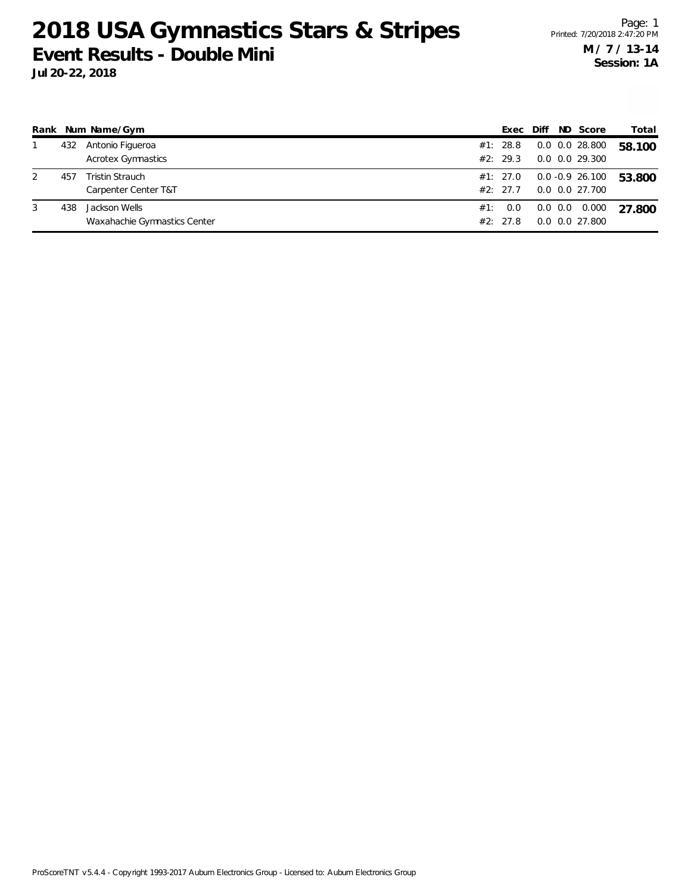| Rank |     | Num Name/Gym                                   |     | Exec                 | Diff | ND Score                                  | Total  |
|------|-----|------------------------------------------------|-----|----------------------|------|-------------------------------------------|--------|
|      | 432 | Antonio Figueroa<br><b>Acrotex Gymnastics</b>  |     | #1: 28.8<br>#2: 29.3 |      | $0.0$ $0.0$ 28.800<br>0.0 0.0 29.300      | 58.100 |
|      | 457 | <b>Tristin Strauch</b><br>Carpenter Center T&T |     | #1: 27.0<br>#2: 27.7 |      | $0.0 - 0.9$ 26.100<br>0.0 0.0 27.700      | 53.800 |
| 3    | 438 | Jackson Wells<br>Waxahachie Gymnastics Center  | #1: | 0.0<br>#2: 27.8      |      | $0.0$ $0.0$ $0.000$<br>$0.0$ $0.0$ 27.800 | 27.800 |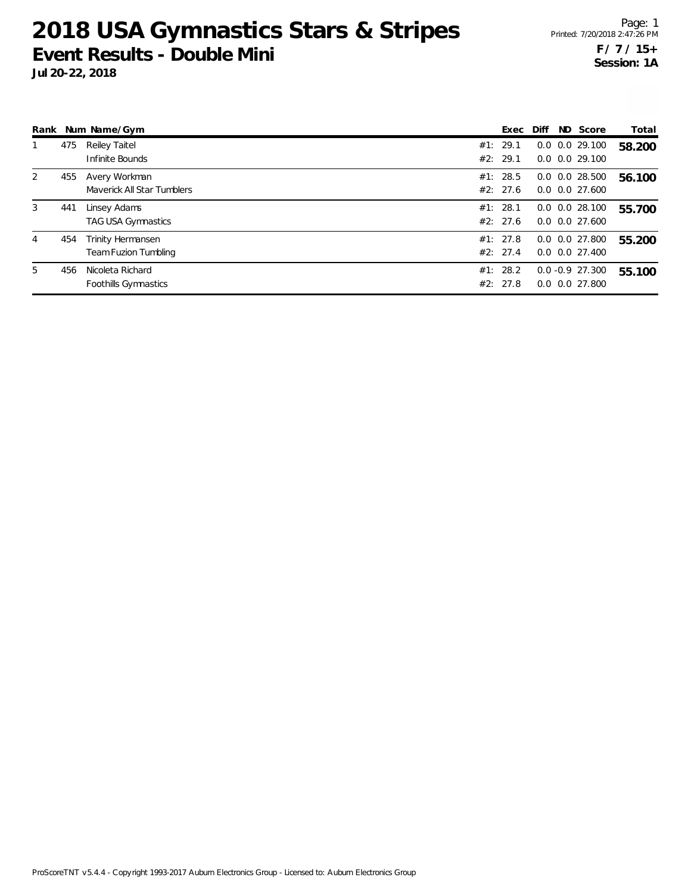|   |     | Rank Num Name/Gym                                | Exec                 | Diff | ND Score                                   | Total  |
|---|-----|--------------------------------------------------|----------------------|------|--------------------------------------------|--------|
|   | 475 | Reiley Taitel<br>Infinite Bounds                 | #1: 29.1<br>#2: 29.1 |      | $0.0$ $0.0$ 29.100<br>$0.0$ $0.0$ 29.100   | 58.200 |
| 2 | 455 | Avery Workman<br>Maverick All Star Tumblers      | #1: 28.5<br>#2: 27.6 |      | $0.0$ $0.0$ 28.500<br>$0.0$ $0.0$ 27.600   | 56.100 |
| 3 | 441 | Linsey Adams<br>TAG USA Gymnastics               | #1: 28.1<br>#2: 27.6 |      | $0.0$ $0.0$ 28.100<br>$0.0$ $0.0$ 27.600   | 55.700 |
| 4 | 454 | Trinity Hermansen<br><b>Team Fuzion Tumbling</b> | #1: 27.8<br>#2: 27.4 |      | $0.0$ $0.0$ 27.800<br>$0.0$ $0.0$ $27.400$ | 55.200 |
| 5 | 456 | Nicoleta Richard<br>Foothills Gymnastics         | #1: 28.2<br>#2: 27.8 |      | $0.0 - 0.9$ 27.300<br>$0.0$ $0.0$ 27.800   | 55.100 |